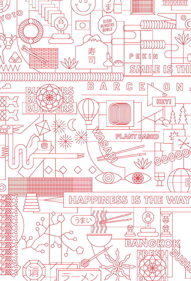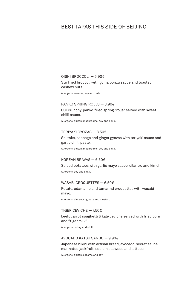# BEST TAPAS THIS SIDE OF BEIJING

### OISHI BROCCOLI — 5.90€

Stir fried broccoli with goma ponzu sauce and toasted cashew nuts.

Allergens: sesame, soy and nuts.

## PANKO SPRING ROLLS — 8.90€

Our crunchy, panko-fried spring "rolls" served with sweet chilli sauce.

Allergens: gluten, mushrooms, soy and chilli.

#### TERIYAKI GYOZAS — 8.50€

## Shiitake, cabbage and ginger gyozas with teriyaki sauce and garlic chilli paste.

Allergens: gluten, mushrooms, soy and chilli.

## KOREAN BRAVAS — 6.50€

Spiced potatoes with garlic mayo sauce, cilantro and kimchi.

Allergens: soy and chilli.

#### WASABI CROQUETTES — 6.50€

Potato, edamame and tamarind croquettes with wasabi mayo.

Allergens: gluten, soy, nuts and mustard.

## TIGER CEVICHE  $-7.50 \in$

Leek, carrot spaghetti & kale ceviche served with fried corn and "tiger milk".

Allergens: celery and chilli.

### AVOCADO KATSU SANDO — 9.90€

Japanese bikini with artisan bread, avocado, secret sauce marinated jackfruit, codium seaweed and lettuce.

Allergens: gluten, sesame and soy.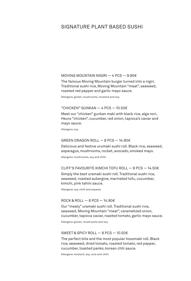## SIGNATURE PLANT BASED SUSHI

## MOVING MOUNTAIN NIGIRI — 4 PCS — 9.90€

The famous Moving Mountain burger turned into a nigiri. Traditional sushi rice, Moving Mountain "meat", seaweed, roasted red pepper and garlic mayo sauce.

Allergens: gluten, mushrooms, mustard and soy.

#### "CHICKEN" GUNKAN  $-$  4 PCS  $-$  10.50 $\epsilon$

Meet our "chicken" gunkan maki with black rice, alga nori, Heura "chicken", cucumber, red onion, tapioca's caviar and mayo sauce.

Allergens: soy.

## GREEN DRAGON ROLL — 8 PCS — 14.90€

Delicious and festive urumaki sushi roll. Black rice, seaweed, asparagus, mushrooms, rocket, avocado, smoked mayo.

Allergens: mushrooms, soy and chilli.

### CLIFF'S FAVOURITE KIMCHI TOFU ROLL  $-$  8 PCS  $-$  14.50 $\epsilon$

Simply the best uramaki sushi roll. Traditional sushi rice, seaweed, roasted aubergine, marinated tofu, cucumber, kimchi, pink tahini sauce.

Allergens: soy, chilli and sesame.

#### ROCK & ROLL  $-$  8 PCS  $-$  14.90 $\epsilon$

Our "meaty" uramaki sushi roll. Traditional sushi rice, seaweed, Moving Mountain "meat", caramelized onion, cucumber, tapioca caviar, roasted tomato, garlic mayo sauce.

Allergens: gluten, mushrooms and soy.

### SWEET & SPICY ROLL — 8 PCS — 10.50€

The perfect bite and the most popular hosomaki roll. Black rice, seaweed, dried tomato, roasted tomato, red pepper, cucumber, toasted panko, korean chili sauce.

Allergens: mustard, soy, nuts and chilli.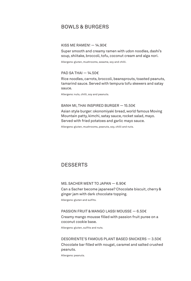# BOWLS & BURGERS

#### KISS ME RAMEN!  $-$  14.90€

Super smooth and creamy ramen with udon noodles, dashi's soup, shiitake, broccoli, tofu, coconut cream and alga nori.

Allergens: gluten, mushrooms, sesame, soy and chilli.

## PAD SA THAI  $-$  14.50 $\in$

Rice noodles, carrots, broccoli, beansprouts, toasted peanuts, tamarind sauce. Served with tempura tofu skewers and satay sauce.

Allergens: nuts, chilli, soy and peanuts.

## BANH MI, THAI INSPIRED BURGER — 15.50€

Asian style burger: okonomiyaki bread, world famous Moving Mountain patty, kimchi, satay sauce, rocket salad, mayo. Served with fried potatoes and garlic mayo sauce.

Allergens: gluten, mushrooms, peanuts, soy, chilli and nuts.

## DESSERTS

#### MS. SACHER WENT TO JAPAN — 6.90€

Can a Sacher become japanese? Chocolate biscuit, cherry & ginger jam with dark chocolate topping.

Allergens: gluten and sulfits.

## PASSION FRUIT & MANGO LASSI MOUSSE — 6.50€

Creamy mango mousse filled with passion fruit puree on a coconut cookie base.

Allergens: gluten, sulfits and nuts.

DESORIENTE'S FAMOUS PLANT BASED SNICKERS — 3.50€ Chocolate bar filled with nougat, caramel and salted crushed peanuts.

Allergens: peanuts.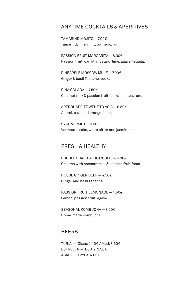## ANYTIME COCKTAILS & APERITIVES

TAMARIND MOJITO — 7.00€ Tamarind, lime, mint, turmeric, rum.

PASSION FRUIT MARGARITA — 8.00€ Passion fruit, carrot, mustard, lime, agave, tequila.

PINEAPPLE MOSCOW MULE — 7.00€ Ginger & basil Tepache, vodka.

PIÑA COLADA — 7.50€ Coconut milk & passion fruit foam, chai tea, rum.

APEROL SPRITZ WENT TO ASIA — 6.50€ Aperol, cava and orange foam.

SAKE VERMUT — 6.00€ Vermouth, sake, white bitter and jasmine tea.

## FRESH & HEALTHY

BUBBLE CHAI TEA (HOT/COLD) — 4.00€ Chai tea with coconut milk & passion fruit foam.

HOUSE GINGER BEER — 4.50€ Ginger and basil tepache.

PASSION FRUIT LEMONADE — 4.50€ Lemon, passion fruit, agave.

SEASONAL KOMBUCHA — 3.90€ Home-made Kombucha.

## BEERS

TURIA — Glass: 2.40€ / Med: 3.60€ ESTRELLA — Bottle: 3.30€ ASAHI — Bottle: 4.00€